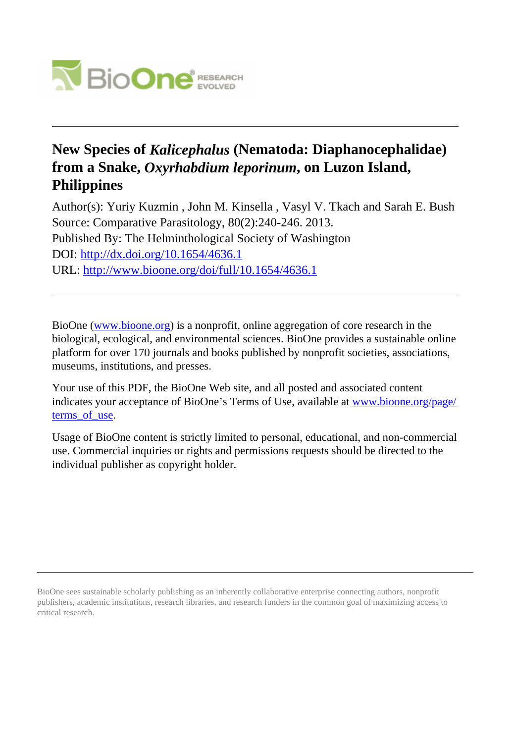

# **New Species of** *Kalicephalus* **(Nematoda: Diaphanocephalidae) from a Snake,** *Oxyrhabdium leporinum***, on Luzon Island, Philippines**

Author(s): Yuriy Kuzmin , John M. Kinsella , Vasyl V. Tkach and Sarah E. Bush Source: Comparative Parasitology, 80(2):240-246. 2013. Published By: The Helminthological Society of Washington DOI:<http://dx.doi.org/10.1654/4636.1> URL: <http://www.bioone.org/doi/full/10.1654/4636.1>

BioOne [\(www.bioone.org\)](http://www.bioone.org) is a nonprofit, online aggregation of core research in the biological, ecological, and environmental sciences. BioOne provides a sustainable online platform for over 170 journals and books published by nonprofit societies, associations, museums, institutions, and presses.

Your use of this PDF, the BioOne Web site, and all posted and associated content indicates your acceptance of BioOne's Terms of Use, available at [www.bioone.org/page/](http://www.bioone.org/page/terms_of_use) terms of use.

Usage of BioOne content is strictly limited to personal, educational, and non-commercial use. Commercial inquiries or rights and permissions requests should be directed to the individual publisher as copyright holder.

BioOne sees sustainable scholarly publishing as an inherently collaborative enterprise connecting authors, nonprofit publishers, academic institutions, research libraries, and research funders in the common goal of maximizing access to critical research.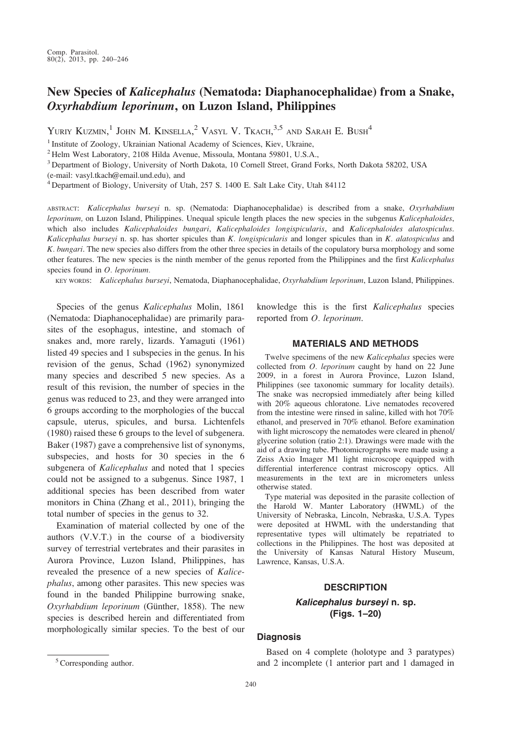## New Species of Kalicephalus (Nematoda: Diaphanocephalidae) from a Snake, Oxyrhabdium leporinum, on Luzon Island, Philippines

Yuriy Kuzmin, $^1$  John M. Kinsella, $^2$  Vasyl V. Tkach, $^{3,5}$  and Sarah E. Bush $^4$ 

<sup>1</sup> Institute of Zoology, Ukrainian National Academy of Sciences, Kiev, Ukraine,

 $^{2}$  Helm West Laboratory, 2108 Hilda Avenue, Missoula, Montana 59801, U.S.A.,

<sup>3</sup> Department of Biology, University of North Dakota, 10 Cornell Street, Grand Forks, North Dakota 58202, USA

(e-mail: vasyl.tkach@email.und.edu), and

 $4$  Department of Biology, University of Utah, 257 S. 1400 E. Salt Lake City, Utah 84112

ABSTRACT: Kalicephalus burseyi n. sp. (Nematoda: Diaphanocephalidae) is described from a snake, Oxyrhabdium leporinum, on Luzon Island, Philippines. Unequal spicule length places the new species in the subgenus Kalicephaloides, which also includes Kalicephaloides bungari, Kalicephaloides longispicularis, and Kalicephaloides alatospiculus. Kalicephalus burseyi n. sp. has shorter spicules than K. longispicularis and longer spicules than in K. alatospiculus and K. bungari. The new species also differs from the other three species in details of the copulatory bursa morphology and some other features. The new species is the ninth member of the genus reported from the Philippines and the first Kalicephalus species found in  $O.$  leporinum.

KEY WORDS: Kalicephalus burseyi, Nematoda, Diaphanocephalidae, Oxyrhabdium leporinum, Luzon Island, Philippines.

Species of the genus Kalicephalus Molin, 1861 (Nematoda: Diaphanocephalidae) are primarily parasites of the esophagus, intestine, and stomach of snakes and, more rarely, lizards. Yamaguti (1961) listed 49 species and 1 subspecies in the genus. In his revision of the genus, Schad (1962) synonymized many species and described 5 new species. As a result of this revision, the number of species in the genus was reduced to 23, and they were arranged into 6 groups according to the morphologies of the buccal capsule, uterus, spicules, and bursa. Lichtenfels (1980) raised these 6 groups to the level of subgenera. Baker (1987) gave a comprehensive list of synonyms, subspecies, and hosts for 30 species in the 6 subgenera of Kalicephalus and noted that 1 species could not be assigned to a subgenus. Since 1987, 1 additional species has been described from water monitors in China (Zhang et al., 2011), bringing the total number of species in the genus to 32.

Examination of material collected by one of the authors (V.V.T.) in the course of a biodiversity survey of terrestrial vertebrates and their parasites in Aurora Province, Luzon Island, Philippines, has revealed the presence of a new species of Kalicephalus, among other parasites. This new species was found in the banded Philippine burrowing snake, Oxyrhabdium leporinum (Günther, 1858). The new species is described herein and differentiated from morphologically similar species. To the best of our knowledge this is the first Kalicephalus species reported from O. leporinum.

#### MATERIALS AND METHODS

Twelve specimens of the new Kalicephalus species were collected from *O. leporinum* caught by hand on 22 June 2009, in a forest in Aurora Province, Luzon Island, Philippines (see taxonomic summary for locality details). The snake was necropsied immediately after being killed with 20% aqueous chloratone. Live nematodes recovered from the intestine were rinsed in saline, killed with hot 70% ethanol, and preserved in 70% ethanol. Before examination with light microscopy the nematodes were cleared in phenol/ glycerine solution (ratio 2:1). Drawings were made with the aid of a drawing tube. Photomicrographs were made using a Zeiss Axio Imager M1 light microscope equipped with differential interference contrast microscopy optics. All measurements in the text are in micrometers unless otherwise stated.

Type material was deposited in the parasite collection of the Harold W. Manter Laboratory (HWML) of the University of Nebraska, Lincoln, Nebraska, U.S.A. Types were deposited at HWML with the understanding that representative types will ultimately be repatriated to collections in the Philippines. The host was deposited at the University of Kansas Natural History Museum, Lawrence, Kansas, U.S.A.

### **DESCRIPTION** Kalicephalus burseyi n. sp. (Figs. 1–20)

#### **Diagnosis**

Based on 4 complete (holotype and 3 paratypes) <sup>5</sup> Corresponding author. **and 2** incomplete (1 anterior part and 1 damaged in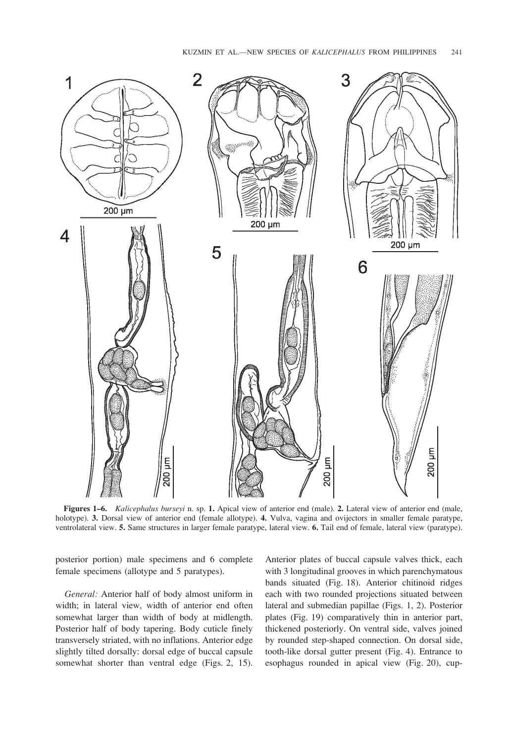

Figures 1–6. Kalicephalus burseyi n. sp. 1. Apical view of anterior end (male). 2. Lateral view of anterior end (male, holotype). 3. Dorsal view of anterior end (female allotype). 4. Vulva, vagina and ovijectors in smaller female paratype, ventrolateral view. 5. Same structures in larger female paratype, lateral view. 6. Tail end of female, lateral view (paratype).

posterior portion) male specimens and 6 complete female specimens (allotype and 5 paratypes).

General: Anterior half of body almost uniform in width; in lateral view, width of anterior end often somewhat larger than width of body at midlength. Posterior half of body tapering. Body cuticle finely transversely striated, with no inflations. Anterior edge slightly tilted dorsally: dorsal edge of buccal capsule somewhat shorter than ventral edge (Figs. 2, 15).

Anterior plates of buccal capsule valves thick, each with 3 longitudinal grooves in which parenchymatous bands situated (Fig. 18). Anterior chitinoid ridges each with two rounded projections situated between lateral and submedian papillae (Figs. 1, 2). Posterior plates (Fig. 19) comparatively thin in anterior part, thickened posteriorly. On ventral side, valves joined by rounded step-shaped connection. On dorsal side, tooth-like dorsal gutter present (Fig. 4). Entrance to esophagus rounded in apical view (Fig. 20), cup-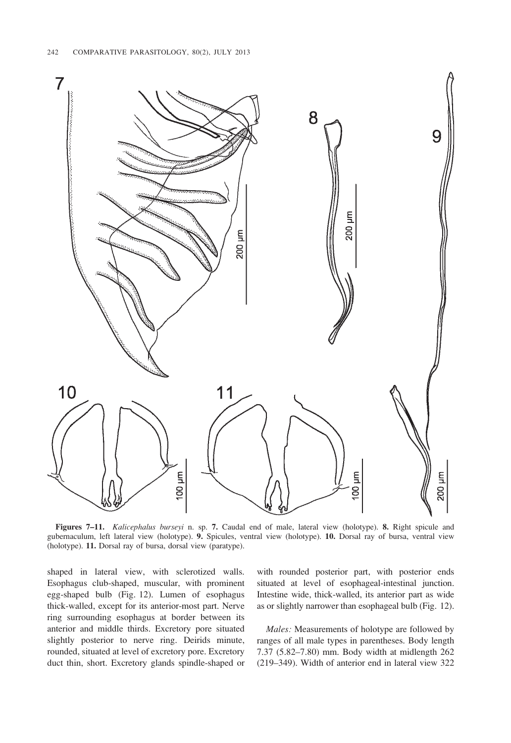

Figures 7–11. Kalicephalus burseyi n. sp. 7. Caudal end of male, lateral view (holotype). 8. Right spicule and gubernaculum, left lateral view (holotype). 9. Spicules, ventral view (holotype). 10. Dorsal ray of bursa, ventral view (holotype). 11. Dorsal ray of bursa, dorsal view (paratype).

shaped in lateral view, with sclerotized walls. Esophagus club-shaped, muscular, with prominent egg-shaped bulb (Fig. 12). Lumen of esophagus thick-walled, except for its anterior-most part. Nerve ring surrounding esophagus at border between its anterior and middle thirds. Excretory pore situated slightly posterior to nerve ring. Deirids minute, rounded, situated at level of excretory pore. Excretory duct thin, short. Excretory glands spindle-shaped or

with rounded posterior part, with posterior ends situated at level of esophageal-intestinal junction. Intestine wide, thick-walled, its anterior part as wide as or slightly narrower than esophageal bulb (Fig. 12).

Males: Measurements of holotype are followed by ranges of all male types in parentheses. Body length 7.37 (5.82–7.80) mm. Body width at midlength 262 (219–349). Width of anterior end in lateral view 322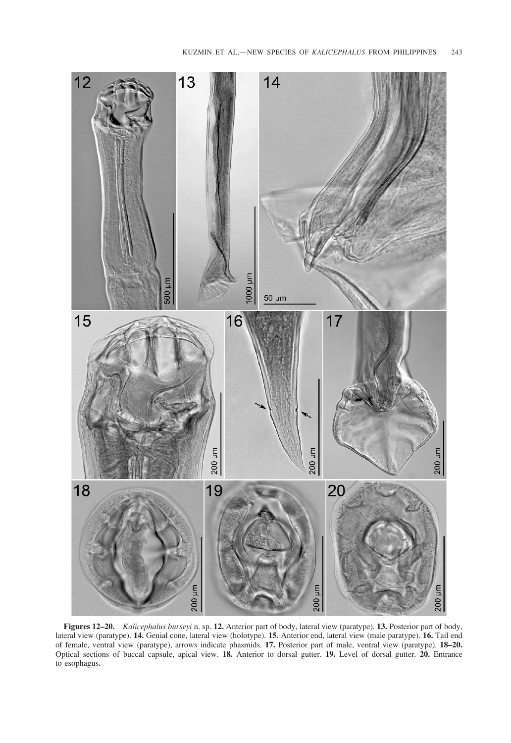

Figures 12–20. Kalicephalus burseyi n. sp. 12. Anterior part of body, lateral view (paratype). 13. Posterior part of body, lateral view (paratype). 14. Genial cone, lateral view (holotype). 15. Anterior end, lateral view (male paratype). 16. Tail end of female, ventral view (paratype), arrows indicate phasmids. 17. Posterior part of male, ventral view (paratype). 18–20. Optical sections of buccal capsule, apical view. 18. Anterior to dorsal gutter. 19. Level of dorsal gutter. 20. Entrance to esophagus.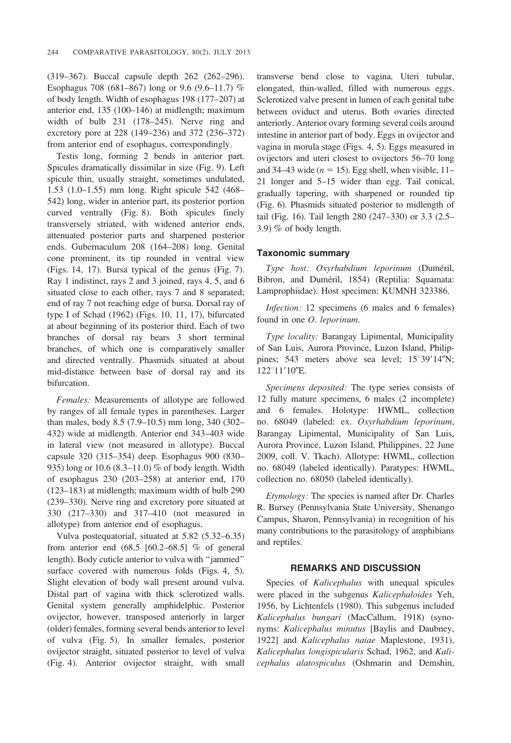(319–367). Buccal capsule depth 262 (262–296). Esophagus 708 (681–867) long or 9.6 (9.6–11.7) % of body length. Width of esophagus 198 (177–207) at anterior end, 135 (100–146) at midlength; maximum width of bulb 231 (178–245). Nerve ring and excretory pore at 228 (149–236) and 372 (236–372) from anterior end of esophagus, correspondingly.

Testis long, forming 2 bends in anterior part. Spicules dramatically dissimilar in size (Fig. 9). Left spicule thin, usually straight, sometimes undulated, 1.53 (1.0–1.55) mm long. Right spicule 542 (468– 542) long, wider in anterior part, its posterior portion curved ventrally (Fig. 8). Both spicules finely transversely striated, with widened anterior ends, attenuated posterior parts and sharpened posterior ends. Gubernaculum 208 (164–208) long. Genital cone prominent, its tip rounded in ventral view (Figs. 14, 17). Bursa typical of the genus (Fig. 7). Ray 1 indistinct, rays 2 and 3 joined, rays 4, 5, and 6 situated close to each other, rays 7 and 8 separated; end of ray 7 not reaching edge of bursa. Dorsal ray of type I of Schad (1962) (Figs. 10, 11, 17), bifurcated at about beginning of its posterior third. Each of two branches of dorsal ray bears 3 short terminal branches, of which one is comparatively smaller and directed ventrally. Phasmids situated at about mid-distance between base of dorsal ray and its bifurcation.

Females: Measurements of allotype are followed by ranges of all female types in parentheses. Larger than males, body 8.5 (7.9–10.5) mm long, 340 (302– 432) wide at midlength. Anterior end 343–403 wide in lateral view (not measured in allotype). Buccal capsule 320 (315–354) deep. Esophagus 900 (830– 935) long or  $10.6$  (8.3–11.0) % of body length. Width of esophagus 230 (203–258) at anterior end, 170 (123–183) at midlength; maximum width of bulb 290 (239–330). Nerve ring and excretory pore situated at 330 (217–330) and 317–410 (not measured in allotype) from anterior end of esophagus.

Vulva postequatorial, situated at 5.82 (5.32–6.35) from anterior end  $(68.5 \, [60.2-68.5]$  % of general length). Body cuticle anterior to vulva with ''jammed'' surface covered with numerous folds (Figs. 4, 5). Slight elevation of body wall present around vulva. Distal part of vagina with thick sclerotized walls. Genital system generally amphidelphic. Posterior ovijector, however, transposed anteriorly in larger (older) females, forming several bends anterior to level of vulva (Fig. 5). In smaller females, posterior ovijector straight, situated posterior to level of vulva (Fig. 4). Anterior ovijector straight, with small transverse bend close to vagina. Uteri tubular, elongated, thin-walled, filled with numerous eggs. Sclerotized valve present in lumen of each genital tube between oviduct and uterus. Both ovaries directed anteriorly. Anterior ovary forming several coils around intestine in anterior part of body. Eggs in ovijector and vagina in morula stage (Figs. 4, 5). Eggs measured in ovijectors and uteri closest to ovijectors 56–70 long and 34–43 wide ( $n = 15$ ). Egg shell, when visible, 11– 21 longer and 5–15 wider than egg. Tail conical, gradually tapering, with sharpened or rounded tip (Fig. 6). Phasmids situated posterior to midlength of tail (Fig. 16). Tail length 280 (247–330) or 3.3 (2.5– 3.9)  $%$  of body length.

#### Taxonomic summary

Type host: Oxyrhabdium leporinum (Duméril, Bibron, and Duméril, 1854) (Reptilia: Squamata: Lamprophiidae). Host specimen: KUMNH 323386.

Infection: 12 specimens (6 males and 6 females) found in one O. leporinum.

Type locality: Barangay Lipimental, Municipality of San Luis, Aurora Province, Luzon Island, Philippines; 543 meters above sea level;  $15^{\circ}39'14''N$ ;  $122^{\circ}11'10''E.$ 

Specimens deposited: The type series consists of 12 fully mature specimens, 6 males (2 incomplete) and 6 females. Holotype: HWML, collection no. 68049 (labeled: ex. Oxyrhabdium leporinum, Barangay Lipimental, Municipality of San Luis, Aurora Province, Luzon Island, Philippines, 22 June 2009, coll. V. Tkach). Allotype: HWML, collection no. 68049 (labeled identically). Paratypes: HWML, collection no. 68050 (labeled identically).

Etymology: The species is named after Dr. Charles R. Bursey (Pennsylvania State University, Shenango Campus, Sharon, Pennsylvania) in recognition of his many contributions to the parasitology of amphibians and reptiles.

#### REMARKS AND DISCUSSION

Species of Kalicephalus with unequal spicules were placed in the subgenus Kalicephaloides Yeh, 1956, by Lichtenfels (1980). This subgenus included Kalicephalus bungari (MacCallum, 1918) (synonyms: Kalicephalus minutus [Baylis and Daubney, 1922] and Kalicephalus naiae Maplestone, 1931), Kalicephalus longispicularis Schad, 1962, and Kalicephalus alatospiculus (Oshmarin and Demshin,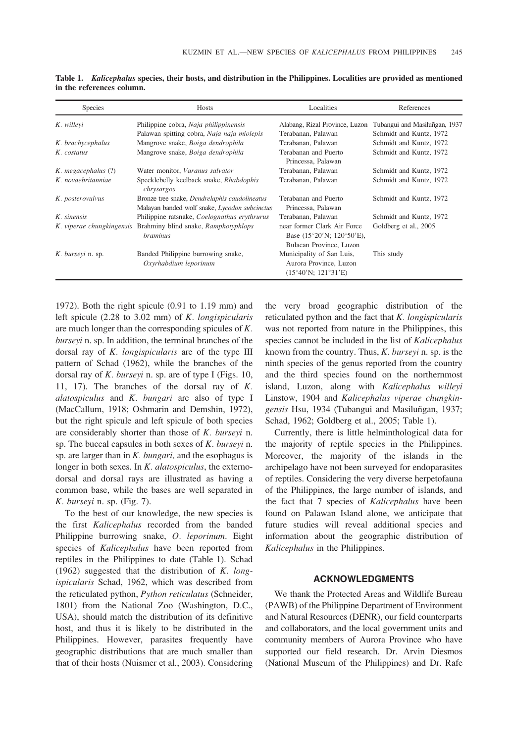| <b>Species</b>      | Hosts                                                                                          | Localities                                                                                              | References                    |
|---------------------|------------------------------------------------------------------------------------------------|---------------------------------------------------------------------------------------------------------|-------------------------------|
| K. willeyi          | Philippine cobra, Naja philippinensis                                                          | Alabang, Rizal Province, Luzon                                                                          | Tubangui and Masiluñgan, 1937 |
|                     | Palawan spitting cobra, Naja naja miolepis                                                     | Terabanan. Palawan                                                                                      | Schmidt and Kuntz, 1972       |
| K. brachycephalus   | Mangrove snake, Boiga dendrophila                                                              | Terabanan, Palawan                                                                                      | Schmidt and Kuntz, 1972       |
| K. costatus         | Mangrove snake, Boiga dendrophila                                                              | Terabanan and Puerto<br>Princessa, Palawan                                                              | Schmidt and Kuntz, 1972       |
| K. megacephalus (?) | Water monitor, Varanus salvator                                                                | Terabanan, Palawan                                                                                      | Schmidt and Kuntz, 1972       |
| K. novaebritanniae  | Specklebelly keelback snake, Rhabdophis<br>chrysargos                                          | Terabanan, Palawan                                                                                      | Schmidt and Kuntz, 1972       |
| K. posterovulvus    | Bronze tree snake, Dendrelaphis caudolineatus<br>Malayan banded wolf snake, Lycodon subcinctus | Terabanan and Puerto<br>Princessa, Palawan                                                              | Schmidt and Kuntz, 1972       |
| K. sinensis         | Philippine ratsnake, Coelognathus erythrurus                                                   | Terabanan, Palawan                                                                                      | Schmidt and Kuntz, 1972       |
|                     | K. viperae chungkingensis Brahminy blind snake, Ramphotyphlops<br><i>braminus</i>              | near former Clark Air Force<br>Base $(15^{\circ}20'$ N; $120^{\circ}50'$ E),<br>Bulacan Province, Luzon | Goldberg et al., 2005         |
| K. burseyi n. sp.   | Banded Philippine burrowing snake,<br>Oxyrhabdium leporinum                                    | Municipality of San Luis,<br>Aurora Province, Luzon<br>$(15^{\circ}40'$ N; $121^{\circ}31'E)$           | This study                    |

Table 1. Kalicephalus species, their hosts, and distribution in the Philippines. Localities are provided as mentioned in the references column.

1972). Both the right spicule (0.91 to 1.19 mm) and left spicule  $(2.28 \text{ to } 3.02 \text{ mm})$  of K. longispicularis are much longer than the corresponding spicules of K. burseyi n. sp. In addition, the terminal branches of the dorsal ray of K. longispicularis are of the type III pattern of Schad (1962), while the branches of the dorsal ray of  $K$ . burseyi n. sp. are of type I (Figs. 10, 11, 17). The branches of the dorsal ray of K. alatospiculus and K. bungari are also of type I (MacCallum, 1918; Oshmarin and Demshin, 1972), but the right spicule and left spicule of both species are considerably shorter than those of K. burseyi n. sp. The buccal capsules in both sexes of K. burseyi n. sp. are larger than in  $K$ . *bungari*, and the esophagus is longer in both sexes. In K. *alatospiculus*, the externodorsal and dorsal rays are illustrated as having a common base, while the bases are well separated in K. burseyi n. sp. (Fig. 7).

To the best of our knowledge, the new species is the first Kalicephalus recorded from the banded Philippine burrowing snake, O. leporinum. Eight species of Kalicephalus have been reported from reptiles in the Philippines to date (Table 1). Schad (1962) suggested that the distribution of  $K$ . longispicularis Schad, 1962, which was described from the reticulated python, Python reticulatus (Schneider, 1801) from the National Zoo (Washington, D.C., USA), should match the distribution of its definitive host, and thus it is likely to be distributed in the Philippines. However, parasites frequently have geographic distributions that are much smaller than that of their hosts (Nuismer et al., 2003). Considering the very broad geographic distribution of the reticulated python and the fact that  $K$ . longispicularis was not reported from nature in the Philippines, this species cannot be included in the list of Kalicephalus known from the country. Thus,  $K$ . burseyi n. sp. is the ninth species of the genus reported from the country and the third species found on the northernmost island, Luzon, along with Kalicephalus willeyi Linstow, 1904 and Kalicephalus viperae chungkingensis Hsu, 1934 (Tubangui and Masiluñgan, 1937; Schad, 1962; Goldberg et al., 2005; Table 1).

Currently, there is little helminthological data for the majority of reptile species in the Philippines. Moreover, the majority of the islands in the archipelago have not been surveyed for endoparasites of reptiles. Considering the very diverse herpetofauna of the Philippines, the large number of islands, and the fact that 7 species of Kalicephalus have been found on Palawan Island alone, we anticipate that future studies will reveal additional species and information about the geographic distribution of Kalicephalus in the Philippines.

#### ACKNOWLEDGMENTS

We thank the Protected Areas and Wildlife Bureau (PAWB) of the Philippine Department of Environment and Natural Resources (DENR), our field counterparts and collaborators, and the local government units and community members of Aurora Province who have supported our field research. Dr. Arvin Diesmos (National Museum of the Philippines) and Dr. Rafe